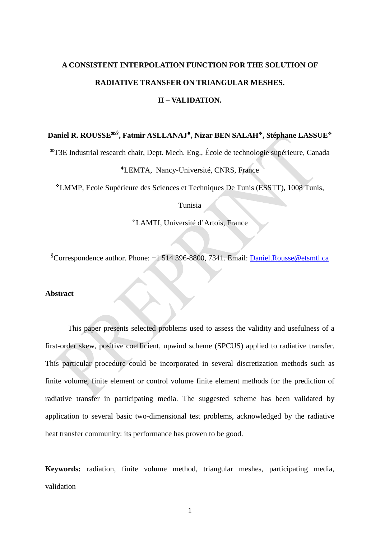# **A CONSISTENT INTERPOLATION FUNCTION FOR THE SOLUTION OF RADIATIVE TRANSFER ON TRIANGULAR MESHES.**

# **II – VALIDATION.**

# Daniel R. ROUSSE<sup>\*,§</sup>, Fatmir ASLLANAJ<sup> $\bullet$ </sup>, Nizar BEN SALAH<sup> $\bullet$ </sup>, Stéphane LASSUE<sup> $\diamond$ </sup>

T3E Industrial research chair, Dept. Mech. Eng., École de technologie supérieure, Canada

# LEMTA, Nancy-Université, CNRS, France

LMMP, Ecole Supérieure des Sciences et Techniques De Tunis (ESSTT), 1008 Tunis,

#### Tunisia

LAMTI, Université d'Artois, France

<sup>§</sup>Correspondence author. Phone: +1 514 396-8800, 7341. Email: **Daniel.Rousse@etsmtl.ca** 

#### **Abstract**

This paper presents selected problems used to assess the validity and usefulness of a first-order skew, positive coefficient, upwind scheme (SPCUS) applied to radiative transfer. This particular procedure could be incorporated in several discretization methods such as finite volume, finite element or control volume finite element methods for the prediction of radiative transfer in participating media. The suggested scheme has been validated by application to several basic two-dimensional test problems, acknowledged by the radiative heat transfer community: its performance has proven to be good.

**Keywords:** radiation, finite volume method, triangular meshes, participating media, validation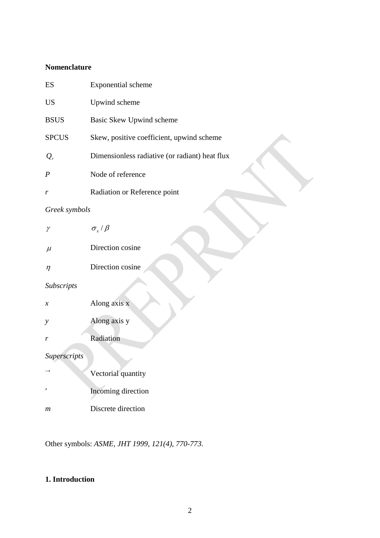# **Nomenclature**

| ES                  | Exponential scheme                             |
|---------------------|------------------------------------------------|
| <b>US</b>           | Upwind scheme                                  |
| <b>BSUS</b>         | Basic Skew Upwind scheme                       |
| <b>SPCUS</b>        | Skew, positive coefficient, upwind scheme      |
| $Q_{r}$             | Dimensionless radiative (or radiant) heat flux |
| $\boldsymbol{P}$    | Node of reference                              |
| r                   | Radiation or Reference point                   |
| Greek symbols       |                                                |
| γ                   | $\sigma_{\rm s}/\beta$                         |
| $\mu$               | Direction cosine                               |
| $\eta$              | Direction cosine                               |
| Subscripts          |                                                |
| $\boldsymbol{\chi}$ | Along axis x                                   |
| y                   | Along axis y                                   |
| r                   | Radiation                                      |
| Superscripts        |                                                |
|                     | Vectorial quantity                             |
| ,                   | Incoming direction                             |
| $\,m$               | Discrete direction                             |
|                     |                                                |

Other symbols: *ASME, JHT 1999, 121(4), 770-773.*

# **1. Introduction**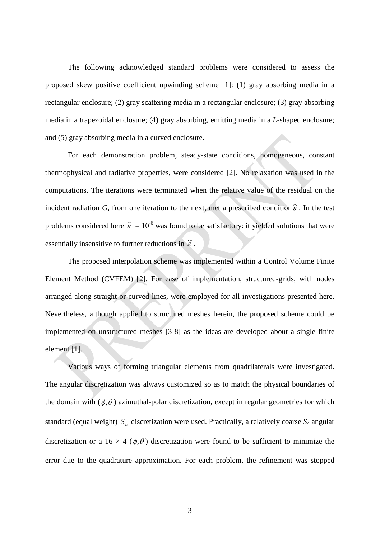The following acknowledged standard problems were considered to assess the proposed skew positive coefficient upwinding scheme [1]: (1) gray absorbing media in a rectangular enclosure; (2) gray scattering media in a rectangular enclosure; (3) gray absorbing media in a trapezoidal enclosure; (4) gray absorbing, emitting media in a *L*-shaped enclosure; and (5) gray absorbing media in a curved enclosure.

For each demonstration problem, steady-state conditions, homogeneous, constant thermophysical and radiative properties, were considered [2]. No relaxation was used in the computations. The iterations were terminated when the relative value of the residual on the incident radiation *G*, from one iteration to the next, met a prescribed condition  $\tilde{\varepsilon}$ . In the test problems considered here  $\tilde{\varepsilon} = 10^{-6}$  was found to be satisfactory: it yielded solutions that were essentially insensitive to further reductions in  $\tilde{\varepsilon}$ .

The proposed interpolation scheme was implemented within a Control Volume Finite Element Method (CVFEM) [2]. For ease of implementation, structured-grids, with nodes arranged along straight or curved lines, were employed for all investigations presented here. Nevertheless, although applied to structured meshes herein, the proposed scheme could be implemented on unstructured meshes [3-8] as the ideas are developed about a single finite element [1].

Various ways of forming triangular elements from quadrilaterals were investigated. The angular discretization was always customized so as to match the physical boundaries of the domain with  $(\phi, \theta)$  azimuthal-polar discretization, except in regular geometries for which standard (equal weight)  $S<sub>n</sub>$  discretization were used. Practically, a relatively coarse  $S<sub>4</sub>$  angular discretization or a 16  $\times$  4 ( $\phi$ , $\theta$ ) discretization were found to be sufficient to minimize the error due to the quadrature approximation. For each problem, the refinement was stopped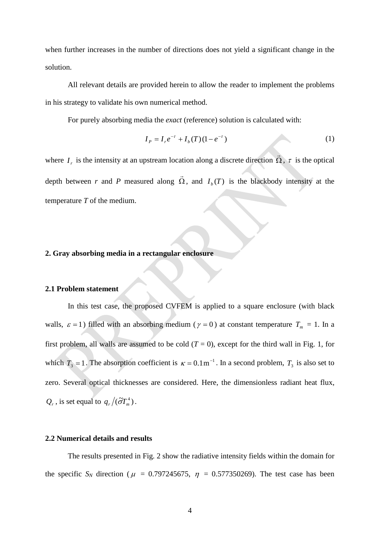when further increases in the number of directions does not yield a significant change in the solution.

All relevant details are provided herein to allow the reader to implement the problems in his strategy to validate his own numerical method.

For purely absorbing media the *exact* (reference) solution is calculated with:

$$
I_p = I_r e^{-\tau} + I_b(T)(1 - e^{-\tau})
$$
\n(1)

where  $I_r$  is the intensity at an upstream location along a discrete direction  $\Omega$  $\frac{1}{2}$ ,  $\tau$  is the optical depth between *r* and *P* measured along Ω  $\overline{a}$ , and  $I_b(T)$  is the blackbody intensity at the temperature *T* of the medium.

#### **2. Gray absorbing media in a rectangular enclosure**

#### **2.1 Problem statement**

In this test case, the proposed CVFEM is applied to a square enclosure (with black walls,  $\varepsilon = 1$ ) filled with an absorbing medium ( $\gamma = 0$ ) at constant temperature  $T_m = 1$ . In a first problem, all walls are assumed to be cold  $(T = 0)$ , except for the third wall in Fig. 1, for which  $T_3 = 1$ . The absorption coefficient is  $\kappa = 0.1 \text{m}^{-1}$ . In a second problem,  $T_3$  is also set to zero. Several optical thicknesses are considered. Here, the dimensionless radiant heat flux,  $Q_r$ , is set equal to  $q_r / (\tilde{\sigma} T_m^4)$ .

## **2.2 Numerical details and results**

The results presented in Fig. 2 show the radiative intensity fields within the domain for the specific  $S_N$  direction ( $\mu = 0.797245675$ ,  $\eta = 0.577350269$ ). The test case has been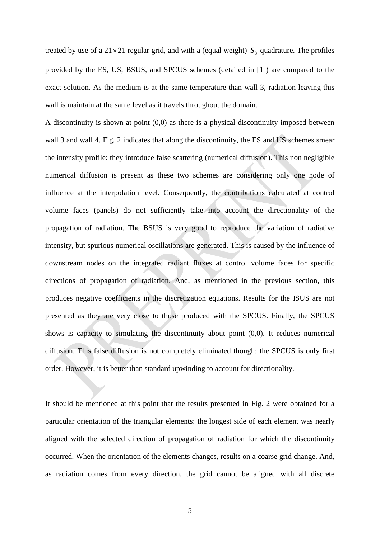treated by use of a  $21 \times 21$  regular grid, and with a (equal weight)  $S_8$  quadrature. The profiles provided by the ES, US, BSUS, and SPCUS schemes (detailed in [1]) are compared to the exact solution. As the medium is at the same temperature than wall 3, radiation leaving this wall is maintain at the same level as it travels throughout the domain.

A discontinuity is shown at point (0,0) as there is a physical discontinuity imposed between wall 3 and wall 4. Fig. 2 indicates that along the discontinuity, the ES and US schemes smear the intensity profile: they introduce false scattering (numerical diffusion). This non negligible numerical diffusion is present as these two schemes are considering only one node of influence at the interpolation level. Consequently, the contributions calculated at control volume faces (panels) do not sufficiently take into account the directionality of the propagation of radiation. The BSUS is very good to reproduce the variation of radiative intensity, but spurious numerical oscillations are generated. This is caused by the influence of downstream nodes on the integrated radiant fluxes at control volume faces for specific directions of propagation of radiation. And, as mentioned in the previous section, this produces negative coefficients in the discretization equations. Results for the ISUS are not presented as they are very close to those produced with the SPCUS. Finally, the SPCUS shows is capacity to simulating the discontinuity about point (0,0). It reduces numerical diffusion. This false diffusion is not completely eliminated though: the SPCUS is only first order. However, it is better than standard upwinding to account for directionality.

It should be mentioned at this point that the results presented in Fig. 2 were obtained for a particular orientation of the triangular elements: the longest side of each element was nearly aligned with the selected direction of propagation of radiation for which the discontinuity occurred. When the orientation of the elements changes, results on a coarse grid change. And, as radiation comes from every direction, the grid cannot be aligned with all discrete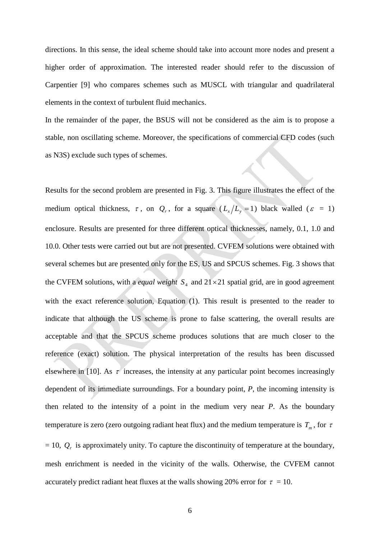directions. In this sense, the ideal scheme should take into account more nodes and present a higher order of approximation. The interested reader should refer to the discussion of Carpentier [9] who compares schemes such as MUSCL with triangular and quadrilateral elements in the context of turbulent fluid mechanics.

In the remainder of the paper, the BSUS will not be considered as the aim is to propose a stable, non oscillating scheme. Moreover, the specifications of commercial CFD codes (such as N3S) exclude such types of schemes.

Results for the second problem are presented in Fig. 3. This figure illustrates the effect of the medium optical thickness,  $\tau$ , on  $Q_r$ , for a square  $(L_x/L_y = 1)$  black walled ( $\varepsilon = 1$ ) enclosure. Results are presented for three different optical thicknesses, namely, 0.1, 1.0 and 10.0. Other tests were carried out but are not presented. CVFEM solutions were obtained with several schemes but are presented only for the ES, US and SPCUS schemes. Fig. 3 shows that the CVFEM solutions, with a *equal weight*  $S_4$  and  $21 \times 21$  spatial grid, are in good agreement with the exact reference solution, Equation (1). This result is presented to the reader to indicate that although the US scheme is prone to false scattering, the overall results are acceptable and that the SPCUS scheme produces solutions that are much closer to the reference (exact) solution. The physical interpretation of the results has been discussed elsewhere in [10]. As  $\tau$  increases, the intensity at any particular point becomes increasingly dependent of its immediate surroundings. For a boundary point, *P*, the incoming intensity is then related to the intensity of a point in the medium very near *P*. As the boundary temperature is zero (zero outgoing radiant heat flux) and the medium temperature is  $T_m$ , for  $\tau$  $= 10$ ,  $Q<sub>r</sub>$  is approximately unity. To capture the discontinuity of temperature at the boundary, mesh enrichment is needed in the vicinity of the walls. Otherwise, the CVFEM cannot accurately predict radiant heat fluxes at the walls showing 20% error for  $\tau = 10$ .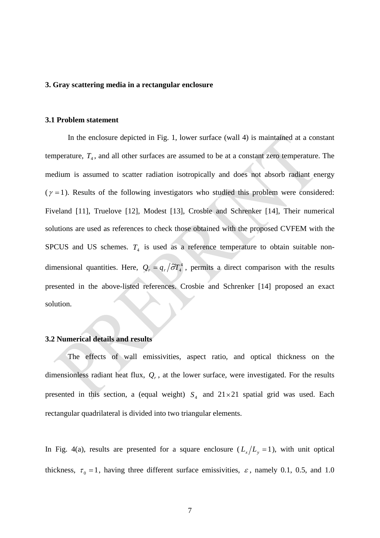#### **3. Gray scattering media in a rectangular enclosure**

#### **3.1 Problem statement**

In the enclosure depicted in Fig. 1, lower surface (wall 4) is maintained at a constant temperature,  $T_4$ , and all other surfaces are assumed to be at a constant zero temperature. The medium is assumed to scatter radiation isotropically and does not absorb radiant energy  $(\gamma = 1)$ . Results of the following investigators who studied this problem were considered: Fiveland [11], Truelove [12], Modest [13], Crosbie and Schrenker [14], Their numerical solutions are used as references to check those obtained with the proposed CVFEM with the SPCUS and US schemes.  $T_4$  is used as a reference temperature to obtain suitable nondimensional quantities. Here,  $Q_r = q_r / \tilde{\sigma} T_4^4$ , permits a direct comparison with the results presented in the above-listed references. Crosbie and Schrenker [14] proposed an exact solution.

#### **3.2 Numerical details and results**

The effects of wall emissivities, aspect ratio, and optical thickness on the dimensionless radiant heat flux,  $Q_r$ , at the lower surface, were investigated. For the results presented in this section, a (equal weight)  $S_4$  and  $21 \times 21$  spatial grid was used. Each rectangular quadrilateral is divided into two triangular elements.

In Fig. 4(a), results are presented for a square enclosure  $(L_x/L_y = 1)$ , with unit optical thickness,  $\tau_0 = 1$ , having three different surface emissivities,  $\varepsilon$ , namely 0.1, 0.5, and 1.0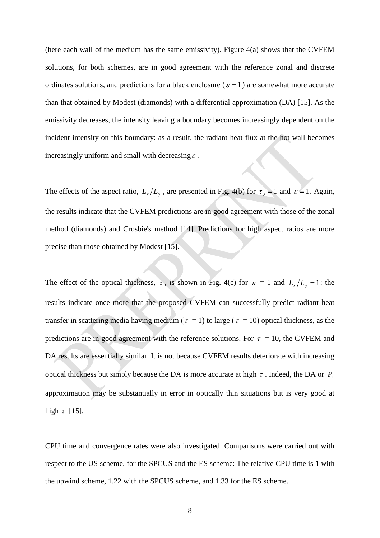(here each wall of the medium has the same emissivity). Figure  $4(a)$  shows that the CVFEM solutions, for both schemes, are in good agreement with the reference zonal and discrete ordinates solutions, and predictions for a black enclosure ( $\varepsilon = 1$ ) are somewhat more accurate than that obtained by Modest (diamonds) with a differential approximation (DA) [15]. As the emissivity decreases, the intensity leaving a boundary becomes increasingly dependent on the incident intensity on this boundary: as a result, the radiant heat flux at the hot wall becomes increasingly uniform and small with decreasing  $\varepsilon$ .

The effects of the aspect ratio,  $L_x/L_y$ , are presented in Fig. 4(b) for  $\tau_0 = 1$  and  $\varepsilon = 1$ . Again, the results indicate that the CVFEM predictions are in good agreement with those of the zonal method (diamonds) and Crosbie's method [14]. Predictions for high aspect ratios are more precise than those obtained by Modest [15].

The effect of the optical thickness,  $\tau$ , is shown in Fig. 4(c) for  $\varepsilon = 1$  and  $L_x/L_y = 1$ : the results indicate once more that the proposed CVFEM can successfully predict radiant heat transfer in scattering media having medium ( $\tau = 1$ ) to large ( $\tau = 10$ ) optical thickness, as the predictions are in good agreement with the reference solutions. For  $\tau = 10$ , the CVFEM and DA results are essentially similar. It is not because CVFEM results deteriorate with increasing optical thickness but simply because the DA is more accurate at high  $\tau$ . Indeed, the DA or  $P_1$ approximation may be substantially in error in optically thin situations but is very good at high  $\tau$  [15].

CPU time and convergence rates were also investigated. Comparisons were carried out with respect to the US scheme, for the SPCUS and the ES scheme: The relative CPU time is 1 with the upwind scheme, 1.22 with the SPCUS scheme, and 1.33 for the ES scheme.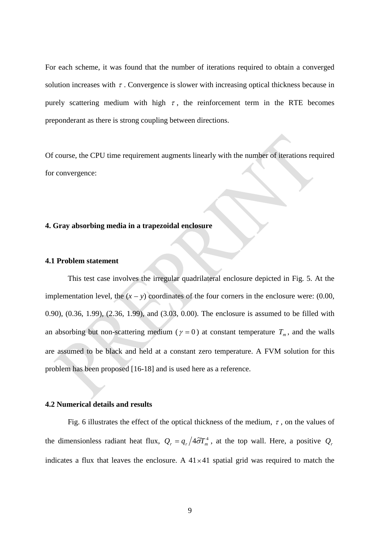For each scheme, it was found that the number of iterations required to obtain a converged solution increases with  $\tau$ . Convergence is slower with increasing optical thickness because in purely scattering medium with high  $\tau$ , the reinforcement term in the RTE becomes preponderant as there is strong coupling between directions.

Of course, the CPU time requirement augments linearly with the number of iterations required for convergence:

#### **4. Gray absorbing media in a trapezoidal enclosure**

#### **4.1 Problem statement**

This test case involves the irregular quadrilateral enclosure depicted in Fig. 5. At the implementation level, the  $(x - y)$  coordinates of the four corners in the enclosure were: (0.00, 0.90), (0.36, 1.99), (2.36, 1.99), and (3.03, 0.00). The enclosure is assumed to be filled with an absorbing but non-scattering medium ( $\gamma = 0$ ) at constant temperature  $T_m$ , and the walls are assumed to be black and held at a constant zero temperature. A FVM solution for this problem has been proposed [16-18] and is used here as a reference.

#### **4.2 Numerical details and results**

Fig. 6 illustrates the effect of the optical thickness of the medium,  $\tau$ , on the values of the dimensionless radiant heat flux,  $Q_r = q_r / 4 \tilde{\sigma} T_m^4$ , at the top wall. Here, a positive  $Q_r$ indicates a flux that leaves the enclosure. A  $41 \times 41$  spatial grid was required to match the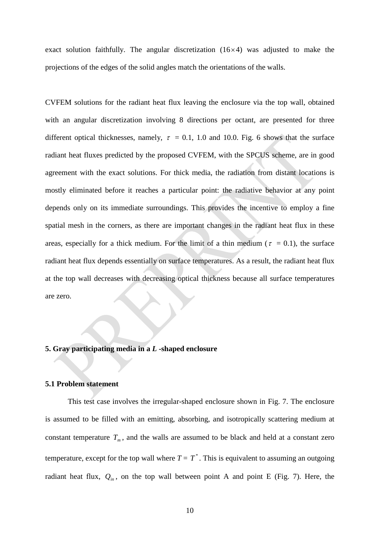exact solution faithfully. The angular discretization  $(16\times4)$  was adjusted to make the projections of the edges of the solid angles match the orientations of the walls.

CVFEM solutions for the radiant heat flux leaving the enclosure via the top wall, obtained with an angular discretization involving 8 directions per octant, are presented for three different optical thicknesses, namely,  $\tau = 0.1$ , 1.0 and 10.0. Fig. 6 shows that the surface radiant heat fluxes predicted by the proposed CVFEM, with the SPCUS scheme, are in good agreement with the exact solutions. For thick media, the radiation from distant locations is mostly eliminated before it reaches a particular point: the radiative behavior at any point depends only on its immediate surroundings. This provides the incentive to employ a fine spatial mesh in the corners, as there are important changes in the radiant heat flux in these areas, especially for a thick medium. For the limit of a thin medium ( $\tau = 0.1$ ), the surface radiant heat flux depends essentially on surface temperatures. As a result, the radiant heat flux at the top wall decreases with decreasing optical thickness because all surface temperatures are zero.

#### **5. Gray participating media in a** *L* **-shaped enclosure**

#### **5.1 Problem statement**

This test case involves the irregular-shaped enclosure shown in Fig. 7. The enclosure is assumed to be filled with an emitting, absorbing, and isotropically scattering medium at constant temperature  $T_m$ , and the walls are assumed to be black and held at a constant zero temperature, except for the top wall where  $T = T^*$ . This is equivalent to assuming an outgoing radiant heat flux,  $Q_{in}$ , on the top wall between point A and point E (Fig. 7). Here, the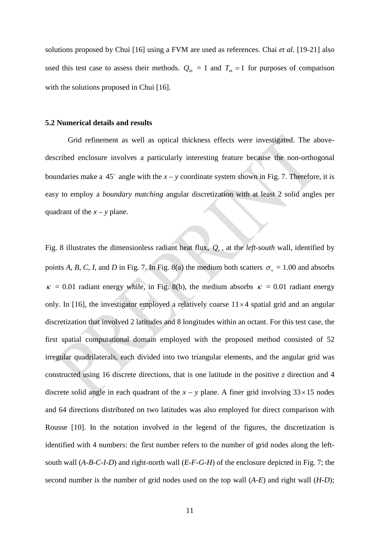solutions proposed by Chui [16] using a FVM are used as references. Chai *et al.* [19-21] also used this test case to assess their methods.  $Q_{in} = 1$  and  $T_m = 1$  for purposes of comparison with the solutions proposed in Chui [16].

#### **5.2 Numerical details and results**

Grid refinement as well as optical thickness effects were investigated. The abovedescribed enclosure involves a particularly interesting feature because the non-orthogonal boundaries make a 45 $\degree$  angle with the  $x - y$  coordinate system shown in Fig. 7. Therefore, it is easy to employ a *boundary matching* angular discretization with at least 2 solid angles per quadrant of the  $x - y$  plane.

Fig. 8 illustrates the dimensionless radiant heat flux,  $Q_r$ , at the *left-south* wall, identified by points *A*, *B*, *C*, *I*, and *D* in Fig. 7. In Fig. 8(a) the medium both scatters  $\sigma_s = 1.00$  and absorbs  $\kappa = 0.01$  radiant energy while, in Fig. 8(b), the medium absorbs  $\kappa = 0.01$  radiant energy only. In [16], the investigator employed a relatively coarse  $11 \times 4$  spatial grid and an angular discretization that involved 2 latitudes and 8 longitudes within an octant. For this test case, the first spatial computational domain employed with the proposed method consisted of 52 irregular quadrilaterals, each divided into two triangular elements, and the angular grid was constructed using 16 discrete directions, that is one latitude in the positive *z* direction and 4 discrete solid angle in each quadrant of the  $x - y$  plane. A finer grid involving  $33 \times 15$  nodes and 64 directions distributed on two latitudes was also employed for direct comparison with Rousse [10]. In the notation involved in the legend of the figures, the discretization is identified with 4 numbers: the first number refers to the number of grid nodes along the leftsouth wall (*A-B-C-I-D*) and right-north wall (*E-F-G-H*) of the enclosure depicted in Fig. 7; the second number is the number of grid nodes used on the top wall (*A-E*) and right wall (*H-D*);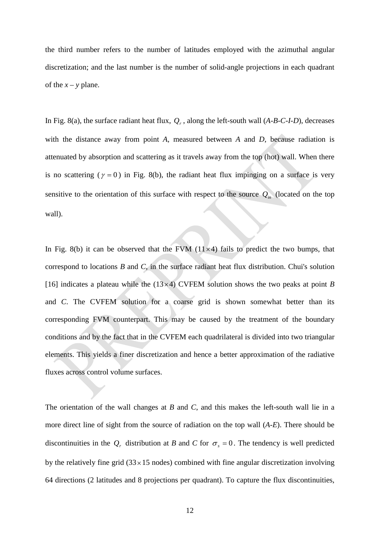the third number refers to the number of latitudes employed with the azimuthal angular discretization; and the last number is the number of solid-angle projections in each quadrant of the  $x - y$  plane.

In Fig. 8(a), the surface radiant heat flux,  $Q_r$ , along the left-south wall  $(A-B-C-I-D)$ , decreases with the distance away from point *A*, measured between *A* and *D*, because radiation is attenuated by absorption and scattering as it travels away from the top (hot) wall. When there is no scattering ( $\gamma = 0$ ) in Fig. 8(b), the radiant heat flux impinging on a surface is very sensitive to the orientation of this surface with respect to the source  $Q_{in}$  (located on the top wall).

In Fig. 8(b) it can be observed that the FVM  $(11\times4)$  fails to predict the two bumps, that correspond to locations *B* and *C*, in the surface radiant heat flux distribution. Chui's solution [16] indicates a plateau while the  $(13\times4)$  CVFEM solution shows the two peaks at point *B* and *C*. The CVFEM solution for a coarse grid is shown somewhat better than its corresponding FVM counterpart. This may be caused by the treatment of the boundary conditions and by the fact that in the CVFEM each quadrilateral is divided into two triangular elements. This yields a finer discretization and hence a better approximation of the radiative fluxes across control volume surfaces.

The orientation of the wall changes at *B* and *C*, and this makes the left-south wall lie in a more direct line of sight from the source of radiation on the top wall (*A-E*). There should be discontinuities in the  $Q_r$  distribution at *B* and *C* for  $\sigma_s = 0$ . The tendency is well predicted by the relatively fine grid  $(33 \times 15 \text{ nodes})$  combined with fine angular discretization involving 64 directions (2 latitudes and 8 projections per quadrant). To capture the flux discontinuities,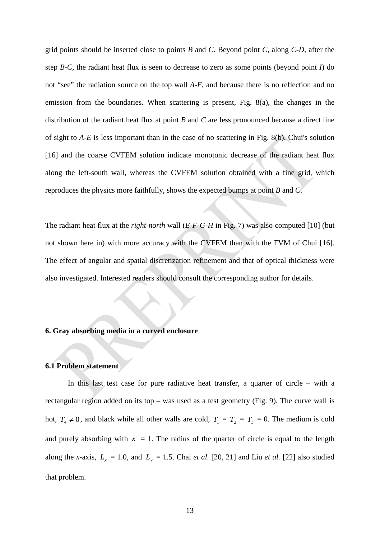grid points should be inserted close to points *B* and *C*. Beyond point *C*, along *C-D*, after the step *B-C*, the radiant heat flux is seen to decrease to zero as some points (beyond point *I*) do not "see" the radiation source on the top wall *A-E*, and because there is no reflection and no emission from the boundaries. When scattering is present, Fig. 8(a), the changes in the distribution of the radiant heat flux at point *B* and *C* are less pronounced because a direct line of sight to *A-E* is less important than in the case of no scattering in Fig. 8(b). Chui's solution [16] and the coarse CVFEM solution indicate monotonic decrease of the radiant heat flux along the left-south wall, whereas the CVFEM solution obtained with a fine grid, which reproduces the physics more faithfully, shows the expected bumps at point *B* and *C*.

The radiant heat flux at the *right-north* wall (*E-F-G-H* in Fig. 7) was also computed [10] (but not shown here in) with more accuracy with the CVFEM than with the FVM of Chui [16]. The effect of angular and spatial discretization refinement and that of optical thickness were also investigated. Interested readers should consult the corresponding author for details.

# **6. Gray absorbing media in a curved enclosure**

## **6.1 Problem statement**

In this last test case for pure radiative heat transfer, a quarter of circle – with a rectangular region added on its top – was used as a test geometry (Fig. 9). The curve wall is hot,  $T_4 \neq 0$ , and black while all other walls are cold,  $T_1 = T_2 = T_3 = 0$ . The medium is cold and purely absorbing with  $\kappa = 1$ . The radius of the quarter of circle is equal to the length along the *x*-axis,  $L_x = 1.0$ , and  $L_y = 1.5$ . Chai *et al.* [20, 21] and Liu *et al.* [22] also studied that problem.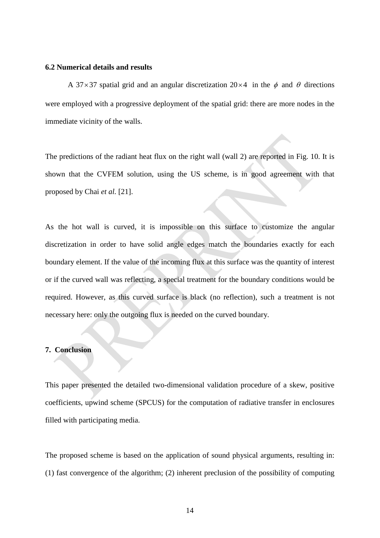#### **6.2 Numerical details and results**

A 37×37 spatial grid and an angular discretization  $20\times4$  in the  $\phi$  and  $\theta$  directions were employed with a progressive deployment of the spatial grid: there are more nodes in the immediate vicinity of the walls.

The predictions of the radiant heat flux on the right wall (wall 2) are reported in Fig. 10. It is shown that the CVFEM solution, using the US scheme, is in good agreement with that proposed by Chai *et al.* [21].

As the hot wall is curved, it is impossible on this surface to customize the angular discretization in order to have solid angle edges match the boundaries exactly for each boundary element. If the value of the incoming flux at this surface was the quantity of interest or if the curved wall was reflecting, a special treatment for the boundary conditions would be required. However, as this curved surface is black (no reflection), such a treatment is not necessary here: only the outgoing flux is needed on the curved boundary.

## **7. Conclusion**

This paper presented the detailed two-dimensional validation procedure of a skew, positive coefficients, upwind scheme (SPCUS) for the computation of radiative transfer in enclosures filled with participating media.

The proposed scheme is based on the application of sound physical arguments, resulting in: (1) fast convergence of the algorithm; (2) inherent preclusion of the possibility of computing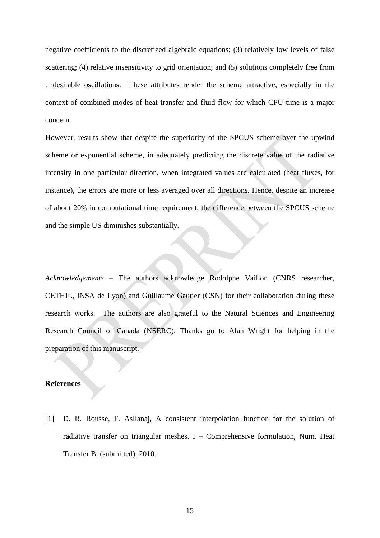negative coefficients to the discretized algebraic equations; (3) relatively low levels of false scattering; (4) relative insensitivity to grid orientation; and (5) solutions completely free from undesirable oscillations. These attributes render the scheme attractive, especially in the context of combined modes of heat transfer and fluid flow for which CPU time is a major concern.

However, results show that despite the superiority of the SPCUS scheme over the upwind scheme or exponential scheme, in adequately predicting the discrete value of the radiative intensity in one particular direction, when integrated values are calculated (heat fluxes, for instance), the errors are more or less averaged over all directions. Hence, despite an increase of about 20% in computational time requirement, the difference between the SPCUS scheme and the simple US diminishes substantially.

*Acknowledgements* – The authors acknowledge Rodolphe Vaillon (CNRS researcher, CETHIL, INSA de Lyon) and Guillaume Gautier (CSN) for their collaboration during these research works. The authors are also grateful to the Natural Sciences and Engineering Research Council of Canada (NSERC). Thanks go to Alan Wright for helping in the preparation of this manuscript.

#### **References**

[1] D. R. Rousse, F. Asllanaj, A consistent interpolation function for the solution of radiative transfer on triangular meshes.  $I -$  Comprehensive formulation, Num. Heat Transfer B, (submitted), 2010.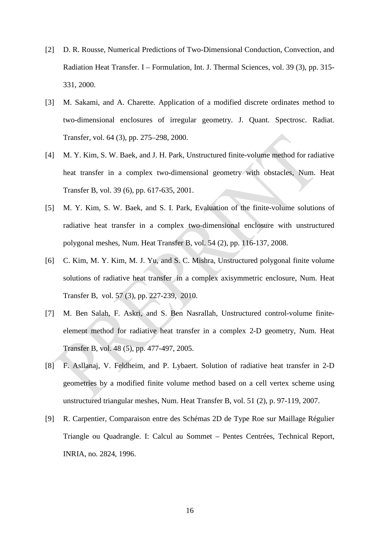- [2] D. R. Rousse, Numerical Predictions of Two-Dimensional Conduction, Convection, and Radiation Heat Transfer. I – Formulation, Int. J. Thermal Sciences, vol. 39 (3), pp. 315- 331, 2000.
- [3] M. Sakami, and A. Charette. Application of a modified discrete ordinates method to two-dimensional enclosures of irregular geometry. J. Quant. Spectrosc. Radiat. Transfer, vol. 64 (3), pp. 275–298, 2000.
- [4] M. Y. Kim, S. W. Baek, and J. H. Park, Unstructured finite-volume method for radiative heat transfer in a complex two-dimensional geometry with obstacles, Num. Heat Transfer B, vol. 39 (6), pp. 617-635, 2001.
- [5] M. Y. Kim, S. W. Baek, and S. I. Park, Evaluation of the finite-volume solutions of radiative heat transfer in a complex two-dimensional enclosure with unstructured polygonal meshes, Num. Heat Transfer B, vol. 54 (2), pp. 116-137, 2008.
- [6] C. Kim, M. Y. Kim, M. J. Yu, and S. C. Mishra, Unstructured polygonal finite volume solutions of radiative heat transfer in a complex axisymmetric enclosure, Num. Heat Transfer B, vol. 57 (3), pp. 227-239, 2010.
- [7] M. Ben Salah, F. Askri, and S. Ben Nasrallah, Unstructured control-volume finiteelement method for radiative heat transfer in a complex 2-D geometry, Num. Heat Transfer B, vol. 48 (5), pp. 477-497, 2005.
- [8] F. Asllanaj, V. Feldheim, and P. Lybaert. Solution of radiative heat transfer in 2-D geometries by a modified finite volume method based on a cell vertex scheme using unstructured triangular meshes, Num. Heat Transfer B, vol. 51 (2), p. 97-119, 2007.
- [9] R. Carpentier, Comparaison entre des Schémas 2D de Type Roe sur Maillage Régulier Triangle ou Quadrangle. I: Calcul au Sommet – Pentes Centrées, Technical Report, INRIA, no. 2824, 1996.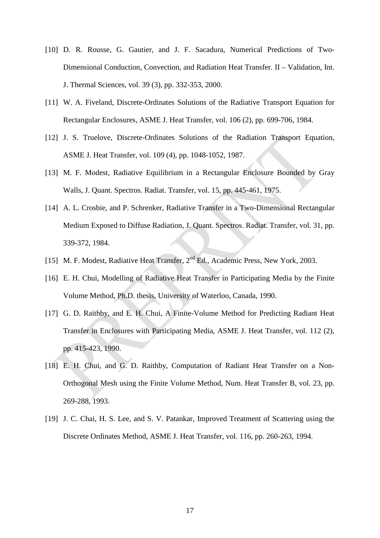- [10] D. R. Rousse, G. Gautier, and J. F. Sacadura, Numerical Predictions of Two-Dimensional Conduction, Convection, and Radiation Heat Transfer. II – Validation, Int. J. Thermal Sciences, vol. 39 (3), pp. 332-353, 2000.
- [11] W. A. Fiveland, Discrete-Ordinates Solutions of the Radiative Transport Equation for Rectangular Enclosures, ASME J. Heat Transfer, vol. 106 (2), pp. 699-706, 1984.
- [12] J. S. Truelove, Discrete-Ordinates Solutions of the Radiation Transport Equation, ASME J. Heat Transfer, vol. 109 (4), pp. 1048-1052, 1987.
- [13] M. F. Modest, Radiative Equilibrium in a Rectangular Enclosure Bounded by Gray Walls, J. Quant. Spectros. Radiat. Transfer, vol. 15, pp. 445-461, 1975.
- [14] A. L. Crosbie, and P. Schrenker, Radiative Transfer in a Two-Dimensional Rectangular Medium Exposed to Diffuse Radiation, J. Quant. Spectros. Radiat. Transfer, vol. 31, pp. 339-372, 1984.
- [15] M. F. Modest, Radiative Heat Transfer, 2<sup>nd</sup> Ed., Academic Press, New York, 2003.
- [16] E. H. Chui, Modelling of Radiative Heat Transfer in Participating Media by the Finite Volume Method, Ph.D. thesis, University of Waterloo, Canada, 1990.
- [17] G. D. Raithby, and E. H. Chui, A Finite-Volume Method for Predicting Radiant Heat Transfer in Enclosures with Participating Media, ASME J. Heat Transfer, vol. 112 (2), pp. 415-423, 1990.
- [18] E. H. Chui, and G. D. Raithby, Computation of Radiant Heat Transfer on a Non-Orthogonal Mesh using the Finite Volume Method, Num. Heat Transfer B, vol. 23, pp. 269-288, 1993.
- [19] J. C. Chai, H. S. Lee, and S. V. Patankar, Improved Treatment of Scattering using the Discrete Ordinates Method, ASME J. Heat Transfer, vol. 116, pp. 260-263, 1994.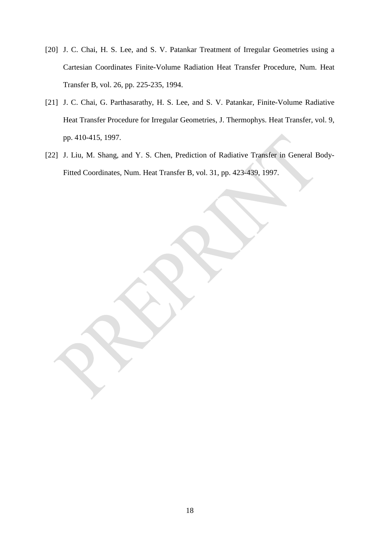- [20] J. C. Chai, H. S. Lee, and S. V. Patankar Treatment of Irregular Geometries using a Cartesian Coordinates Finite-Volume Radiation Heat Transfer Procedure, Num. Heat Transfer B, vol. 26, pp. 225-235, 1994.
- [21] J. C. Chai, G. Parthasarathy, H. S. Lee, and S. V. Patankar, Finite-Volume Radiative Heat Transfer Procedure for Irregular Geometries, J. Thermophys. Heat Transfer, vol. 9, pp. 410-415, 1997.
- [22] J. Liu, M. Shang, and Y. S. Chen, Prediction of Radiative Transfer in General Body-Fitted Coordinates, Num. Heat Transfer B, vol. 31, pp. 423-439, 1997.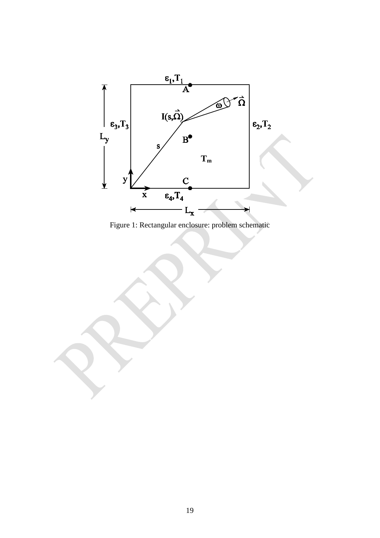

Figure 1: Rectangular enclosure: problem schematic

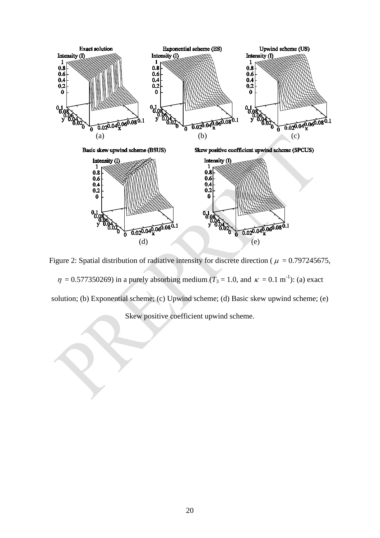

Figure 2: Spatial distribution of radiative intensity for discrete direction ( $\mu = 0.797245675$ ,

 $\eta = 0.577350269$ ) in a purely absorbing medium ( $T_3 = 1.0$ , and  $\kappa = 0.1 \text{ m}^{-1}$ ): (a) exact solution; (b) Exponential scheme; (c) Upwind scheme; (d) Basic skew upwind scheme; (e)

Skew positive coefficient upwind scheme.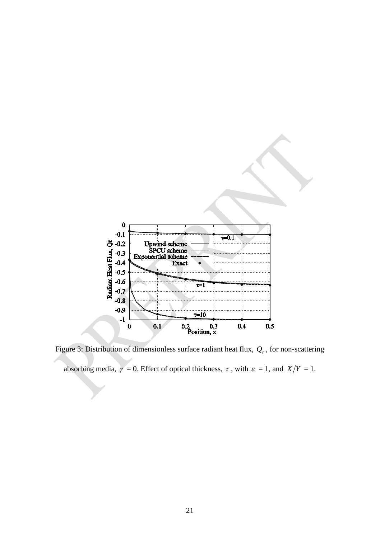

Figure 3: Distribution of dimensionless surface radiant heat flux,  $Q_r$ , for non-scattering absorbing media,  $\gamma = 0$ . Effect of optical thickness,  $\tau$ , with  $\varepsilon = 1$ , and  $X/Y = 1$ .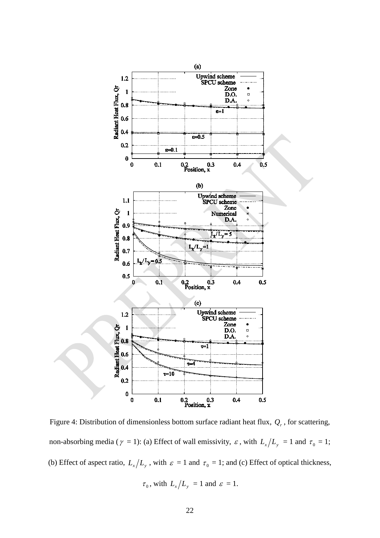

Figure 4: Distribution of dimensionless bottom surface radiant heat flux,  $Q_r$ , for scattering, non-absorbing media ( $\gamma = 1$ ): (a) Effect of wall emissivity,  $\varepsilon$ , with  $L_x/L_y = 1$  and  $\tau_0 = 1$ ; (b) Effect of aspect ratio,  $L_x/L_y$ , with  $\varepsilon = 1$  and  $\tau_0 = 1$ ; and (c) Effect of optical thickness,

$$
\tau_0
$$
, with  $L_x/L_y = 1$  and  $\varepsilon = 1$ .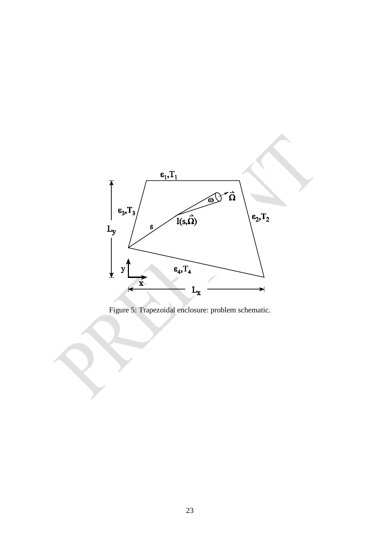

Figure 5: Trapezoidal enclosure: problem schematic.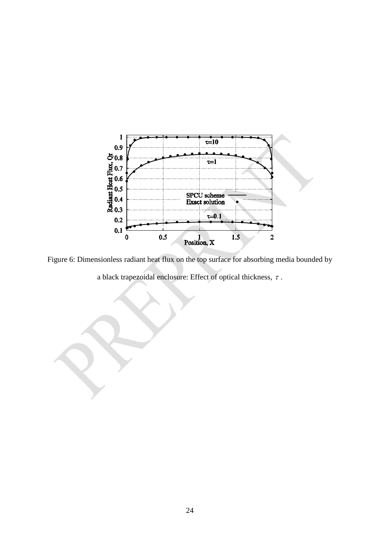

Figure 6: Dimensionless radiant heat flux on the top surface for absorbing media bounded by a black trapezoidal enclosure: Effect of optical thickness,  $\tau$ .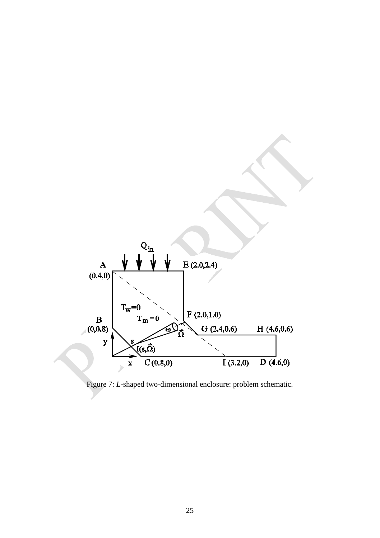

Figure 7: *L*-shaped two-dimensional enclosure: problem schematic.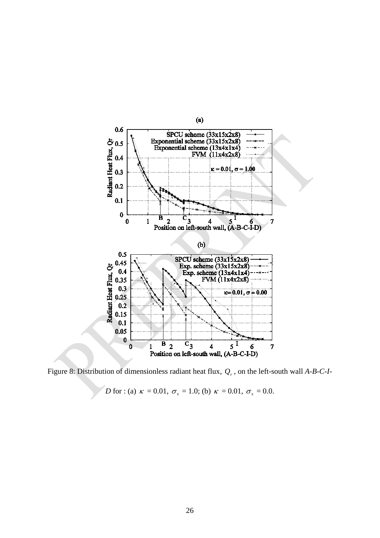

Figure 8: Distribution of dimensionless radiant heat flux,  $Q_r$ , on the left-south wall *A-B-C-I-*

*D* for : (a)  $\kappa = 0.01$ ,  $\sigma_s = 1.0$ ; (b)  $\kappa = 0.01$ ,  $\sigma_s = 0.0$ .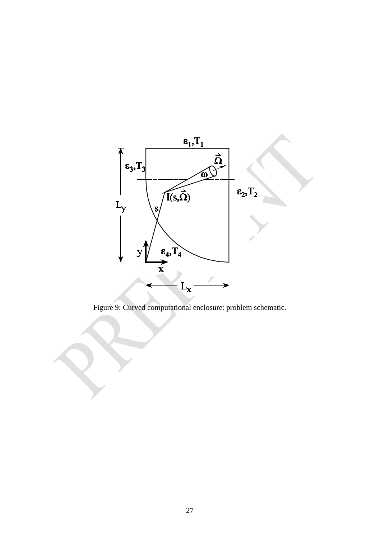

Figure 9: Curved computational enclosure: problem schematic.